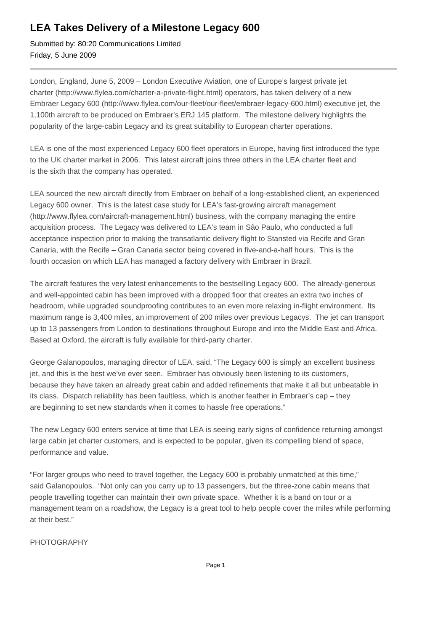## **LEA Takes Delivery of a Milestone Legacy 600**

Submitted by: 80:20 Communications Limited Friday, 5 June 2009

London, England, June 5, 2009 – London Executive Aviation, one of Europe's largest private jet charter (http://www.flylea.com/charter-a-private-flight.html) operators, has taken delivery of a new Embraer Legacy 600 (http://www.flylea.com/our-fleet/our-fleet/embraer-legacy-600.html) executive jet, the 1,100th aircraft to be produced on Embraer's ERJ 145 platform. The milestone delivery highlights the popularity of the large-cabin Legacy and its great suitability to European charter operations.

LEA is one of the most experienced Legacy 600 fleet operators in Europe, having first introduced the type to the UK charter market in 2006. This latest aircraft joins three others in the LEA charter fleet and is the sixth that the company has operated.

LEA sourced the new aircraft directly from Embraer on behalf of a long-established client, an experienced Legacy 600 owner. This is the latest case study for LEA's fast-growing aircraft management (http://www.flylea.com/aircraft-management.html) business, with the company managing the entire acquisition process. The Legacy was delivered to LEA's team in São Paulo, who conducted a full acceptance inspection prior to making the transatlantic delivery flight to Stansted via Recife and Gran Canaria, with the Recife – Gran Canaria sector being covered in five-and-a-half hours. This is the fourth occasion on which LEA has managed a factory delivery with Embraer in Brazil.

The aircraft features the very latest enhancements to the bestselling Legacy 600. The already-generous and well-appointed cabin has been improved with a dropped floor that creates an extra two inches of headroom, while upgraded soundproofing contributes to an even more relaxing in-flight environment. Its maximum range is 3,400 miles, an improvement of 200 miles over previous Legacys. The jet can transport up to 13 passengers from London to destinations throughout Europe and into the Middle East and Africa. Based at Oxford, the aircraft is fully available for third-party charter.

George Galanopoulos, managing director of LEA, said, "The Legacy 600 is simply an excellent business jet, and this is the best we've ever seen. Embraer has obviously been listening to its customers, because they have taken an already great cabin and added refinements that make it all but unbeatable in its class. Dispatch reliability has been faultless, which is another feather in Embraer's cap – they are beginning to set new standards when it comes to hassle free operations."

The new Legacy 600 enters service at time that LEA is seeing early signs of confidence returning amongst large cabin jet charter customers, and is expected to be popular, given its compelling blend of space, performance and value.

"For larger groups who need to travel together, the Legacy 600 is probably unmatched at this time," said Galanopoulos. "Not only can you carry up to 13 passengers, but the three-zone cabin means that people travelling together can maintain their own private space. Whether it is a band on tour or a management team on a roadshow, the Legacy is a great tool to help people cover the miles while performing at their best."

PHOTOGRAPHY